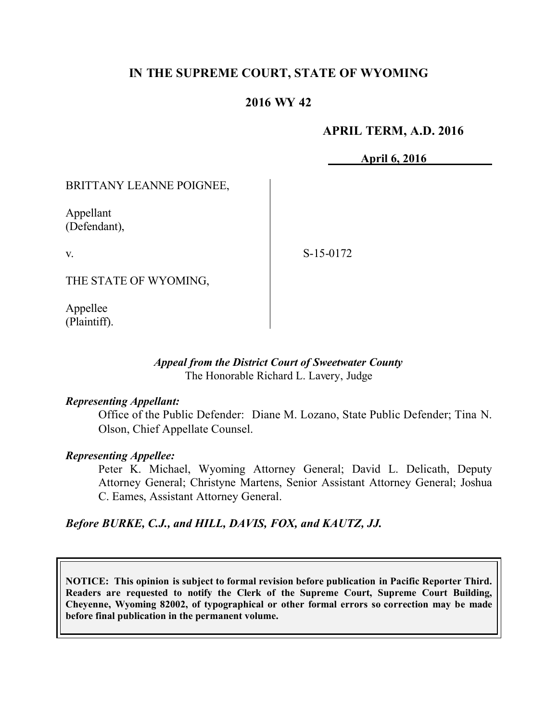# **IN THE SUPREME COURT, STATE OF WYOMING**

# **2016 WY 42**

## **APRIL TERM, A.D. 2016**

**April 6, 2016**

BRITTANY LEANNE POIGNEE,

Appellant (Defendant),

v.

S-15-0172

THE STATE OF WYOMING,

Appellee (Plaintiff).

## *Appeal from the District Court of Sweetwater County* The Honorable Richard L. Lavery, Judge

#### *Representing Appellant:*

Office of the Public Defender: Diane M. Lozano, State Public Defender; Tina N. Olson, Chief Appellate Counsel.

## *Representing Appellee:*

Peter K. Michael, Wyoming Attorney General; David L. Delicath, Deputy Attorney General; Christyne Martens, Senior Assistant Attorney General; Joshua C. Eames, Assistant Attorney General.

## *Before BURKE, C.J., and HILL, DAVIS, FOX, and KAUTZ, JJ.*

**NOTICE: This opinion is subject to formal revision before publication in Pacific Reporter Third. Readers are requested to notify the Clerk of the Supreme Court, Supreme Court Building, Cheyenne, Wyoming 82002, of typographical or other formal errors so correction may be made before final publication in the permanent volume.**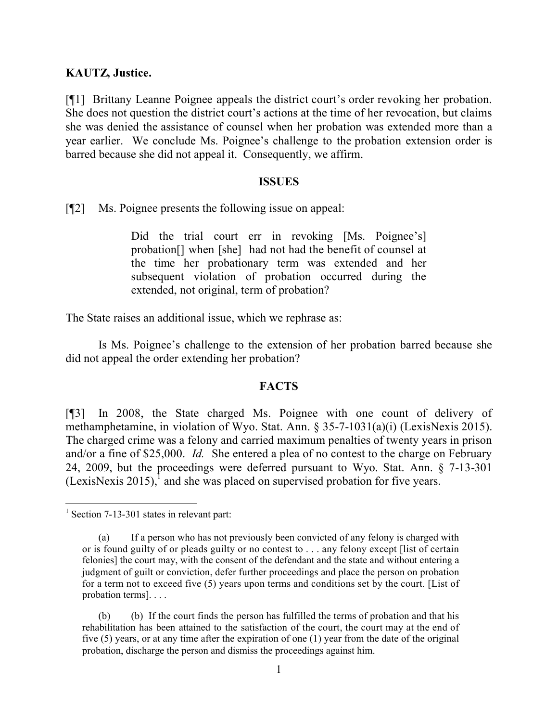### **KAUTZ, Justice.**

[¶1] Brittany Leanne Poignee appeals the district court's order revoking her probation. She does not question the district court's actions at the time of her revocation, but claims she was denied the assistance of counsel when her probation was extended more than a year earlier. We conclude Ms. Poignee's challenge to the probation extension order is barred because she did not appeal it. Consequently, we affirm.

#### **ISSUES**

[¶2] Ms. Poignee presents the following issue on appeal:

Did the trial court err in revoking [Ms. Poignee's] probation[] when [she] had not had the benefit of counsel at the time her probationary term was extended and her subsequent violation of probation occurred during the extended, not original, term of probation?

The State raises an additional issue, which we rephrase as:

Is Ms. Poignee's challenge to the extension of her probation barred because she did not appeal the order extending her probation?

#### **FACTS**

[¶3] In 2008, the State charged Ms. Poignee with one count of delivery of methamphetamine, in violation of Wyo. Stat. Ann. § 35-7-1031(a)(i) (LexisNexis 2015). The charged crime was a felony and carried maximum penalties of twenty years in prison and/or a fine of \$25,000. *Id.* She entered a plea of no contest to the charge on February 24, 2009, but the proceedings were deferred pursuant to Wyo. Stat. Ann. § 7-13-301 (LexisNexis 2015),<sup>1</sup> and she was placed on supervised probation for five years.

 $\overline{a}$ 

<sup>&</sup>lt;sup>1</sup> Section 7-13-301 states in relevant part:

<sup>(</sup>a) If a person who has not previously been convicted of any felony is charged with or is found guilty of or pleads guilty or no contest to . . . any felony except [list of certain felonies] the court may, with the consent of the defendant and the state and without entering a judgment of guilt or conviction, defer further proceedings and place the person on probation for a term not to exceed five (5) years upon terms and conditions set by the court. [List of probation terms]. . . .

<sup>(</sup>b) (b) If the court finds the person has fulfilled the terms of probation and that his rehabilitation has been attained to the satisfaction of the court, the court may at the end of five (5) years, or at any time after the expiration of one (1) year from the date of the original probation, discharge the person and dismiss the proceedings against him.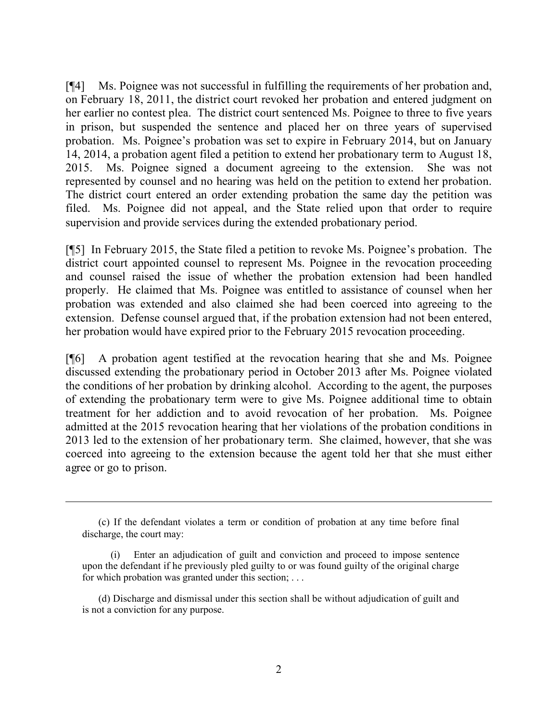[¶4] Ms. Poignee was not successful in fulfilling the requirements of her probation and, on February 18, 2011, the district court revoked her probation and entered judgment on her earlier no contest plea. The district court sentenced Ms. Poignee to three to five years in prison, but suspended the sentence and placed her on three years of supervised probation. Ms. Poignee's probation was set to expire in February 2014, but on January 14, 2014, a probation agent filed a petition to extend her probationary term to August 18, 2015. Ms. Poignee signed a document agreeing to the extension. She was not represented by counsel and no hearing was held on the petition to extend her probation. The district court entered an order extending probation the same day the petition was filed. Ms. Poignee did not appeal, and the State relied upon that order to require supervision and provide services during the extended probationary period.

[¶5] In February 2015, the State filed a petition to revoke Ms. Poignee's probation. The district court appointed counsel to represent Ms. Poignee in the revocation proceeding and counsel raised the issue of whether the probation extension had been handled properly. He claimed that Ms. Poignee was entitled to assistance of counsel when her probation was extended and also claimed she had been coerced into agreeing to the extension. Defense counsel argued that, if the probation extension had not been entered, her probation would have expired prior to the February 2015 revocation proceeding.

[¶6] A probation agent testified at the revocation hearing that she and Ms. Poignee discussed extending the probationary period in October 2013 after Ms. Poignee violated the conditions of her probation by drinking alcohol. According to the agent, the purposes of extending the probationary term were to give Ms. Poignee additional time to obtain treatment for her addiction and to avoid revocation of her probation. Ms. Poignee admitted at the 2015 revocation hearing that her violations of the probation conditions in 2013 led to the extension of her probationary term. She claimed, however, that she was coerced into agreeing to the extension because the agent told her that she must either agree or go to prison.

<sup>(</sup>c) If the defendant violates a term or condition of probation at any time before final discharge, the court may:

Enter an adjudication of guilt and conviction and proceed to impose sentence upon the defendant if he previously pled guilty to or was found guilty of the original charge for which probation was granted under this section; . . .

<sup>(</sup>d) Discharge and dismissal under this section shall be without adjudication of guilt and is not a conviction for any purpose.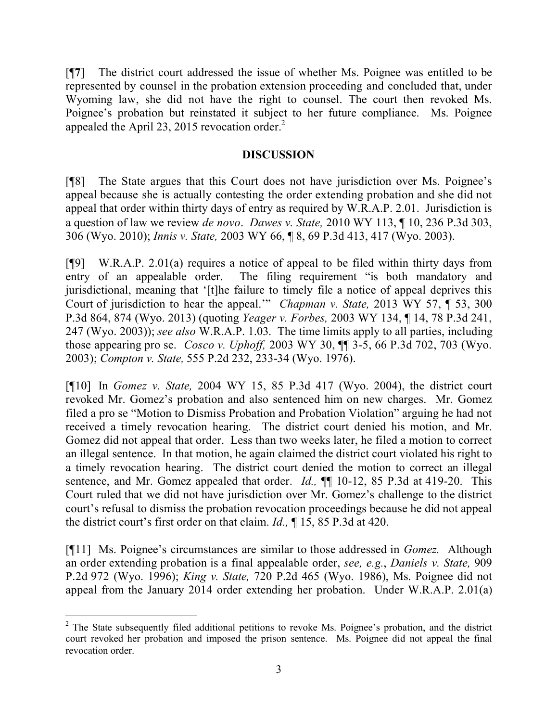[¶**7**] The district court addressed the issue of whether Ms. Poignee was entitled to be represented by counsel in the probation extension proceeding and concluded that, under Wyoming law, she did not have the right to counsel. The court then revoked Ms. Poignee's probation but reinstated it subject to her future compliance. Ms. Poignee appealed the April 23, 2015 revocation order. $^2$ 

## **DISCUSSION**

[¶8] The State argues that this Court does not have jurisdiction over Ms. Poignee's appeal because she is actually contesting the order extending probation and she did not appeal that order within thirty days of entry as required by W.R.A.P. 2.01. Jurisdiction is a question of law we review *de novo*. *Dawes v. State,* 2010 WY 113, ¶ 10, 236 P.3d 303, 306 (Wyo. 2010); *Innis v. State,* 2003 WY 66, ¶ 8, 69 P.3d 413, 417 (Wyo. 2003).

[¶9] W.R.A.P. 2.01(a) requires a notice of appeal to be filed within thirty days from entry of an appealable order. The filing requirement "is both mandatory and jurisdictional, meaning that '[t]he failure to timely file a notice of appeal deprives this Court of jurisdiction to hear the appeal.'" *Chapman v. State,* 2013 WY 57, ¶ 53, 300 P.3d 864, 874 (Wyo. 2013) (quoting *Yeager v. Forbes,* 2003 WY 134, ¶ 14, 78 P.3d 241, 247 (Wyo. 2003)); *see also* W.R.A.P. 1.03. The time limits apply to all parties, including those appearing pro se. *Cosco v. Uphoff,* 2003 WY 30, ¶¶ 3-5, 66 P.3d 702, 703 (Wyo. 2003); *Compton v. State,* 555 P.2d 232, 233-34 (Wyo. 1976).

[¶10] In *Gomez v. State,* 2004 WY 15, 85 P.3d 417 (Wyo. 2004), the district court revoked Mr. Gomez's probation and also sentenced him on new charges. Mr. Gomez filed a pro se "Motion to Dismiss Probation and Probation Violation" arguing he had not received a timely revocation hearing. The district court denied his motion, and Mr. Gomez did not appeal that order. Less than two weeks later, he filed a motion to correct an illegal sentence. In that motion, he again claimed the district court violated his right to a timely revocation hearing. The district court denied the motion to correct an illegal sentence, and Mr. Gomez appealed that order. *Id.*,  $\P$  10-12, 85 P.3d at 419-20. This Court ruled that we did not have jurisdiction over Mr. Gomez's challenge to the district court's refusal to dismiss the probation revocation proceedings because he did not appeal the district court's first order on that claim. *Id.,* ¶ 15, 85 P.3d at 420.

[¶11] Ms. Poignee's circumstances are similar to those addressed in *Gomez.* Although an order extending probation is a final appealable order, *see, e.g.*, *Daniels v. State,* 909 P.2d 972 (Wyo. 1996); *King v. State,* 720 P.2d 465 (Wyo. 1986), Ms. Poignee did not appeal from the January 2014 order extending her probation. Under W.R.A.P. 2.01(a)

 <sup>2</sup> The State subsequently filed additional petitions to revoke Ms. Poignee's probation, and the district court revoked her probation and imposed the prison sentence. Ms. Poignee did not appeal the final revocation order.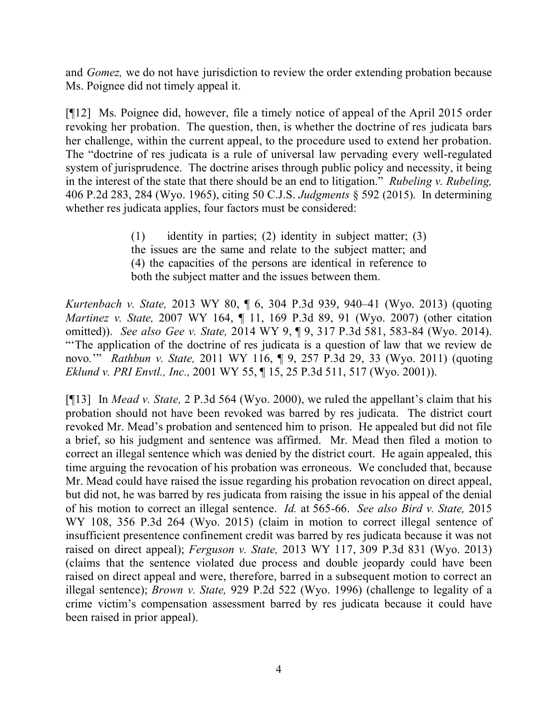and *Gomez,* we do not have jurisdiction to review the order extending probation because Ms. Poignee did not timely appeal it.

[¶12] Ms. Poignee did, however, file a timely notice of appeal of the April 2015 order revoking her probation. The question, then, is whether the doctrine of res judicata bars her challenge, within the current appeal, to the procedure used to extend her probation. The "doctrine of res judicata is a rule of universal law pervading every well-regulated system of jurisprudence. The doctrine arises through public policy and necessity, it being in the interest of the state that there should be an end to litigation." *Rubeling v. Rubeling,*  406 P.2d 283, 284 (Wyo. 1965), citing 50 C.J.S. *Judgments* § 592 (2015). In determining whether res judicata applies, four factors must be considered:

> (1) identity in parties; (2) identity in subject matter; (3) the issues are the same and relate to the subject matter; and (4) the capacities of the persons are identical in reference to both the subject matter and the issues between them.

*Kurtenbach v. State,* 2013 WY 80, ¶ 6, 304 P.3d 939, 940–41 (Wyo. 2013) (quoting *Martinez v. State,* 2007 WY 164, ¶ 11, 169 P.3d 89, 91 (Wyo. 2007) (other citation omitted)). *See also Gee v. State,* 2014 WY 9, ¶ 9, 317 P.3d 581, 583-84 (Wyo. 2014). "'The application of the doctrine of res judicata is a question of law that we review de novo*.*'" *Rathbun v. State,* 2011 WY 116, ¶ 9, 257 P.3d 29, 33 (Wyo. 2011) (quoting *Eklund v. PRI Envtl., Inc.,* 2001 WY 55, ¶ 15, 25 P.3d 511, 517 (Wyo. 2001)).

[¶13] In *Mead v. State,* 2 P.3d 564 (Wyo. 2000), we ruled the appellant's claim that his probation should not have been revoked was barred by res judicata. The district court revoked Mr. Mead's probation and sentenced him to prison. He appealed but did not file a brief, so his judgment and sentence was affirmed. Mr. Mead then filed a motion to correct an illegal sentence which was denied by the district court. He again appealed, this time arguing the revocation of his probation was erroneous. We concluded that, because Mr. Mead could have raised the issue regarding his probation revocation on direct appeal, but did not, he was barred by res judicata from raising the issue in his appeal of the denial of his motion to correct an illegal sentence. *Id.* at 565-66. *See also Bird v. State,* 2015 WY 108, 356 P.3d 264 (Wyo. 2015) (claim in motion to correct illegal sentence of insufficient presentence confinement credit was barred by res judicata because it was not raised on direct appeal); *Ferguson v. State,* 2013 WY 117, 309 P.3d 831 (Wyo. 2013) (claims that the sentence violated due process and double jeopardy could have been raised on direct appeal and were, therefore, barred in a subsequent motion to correct an illegal sentence); *Brown v. State,* 929 P.2d 522 (Wyo. 1996) (challenge to legality of a crime victim's compensation assessment barred by res judicata because it could have been raised in prior appeal).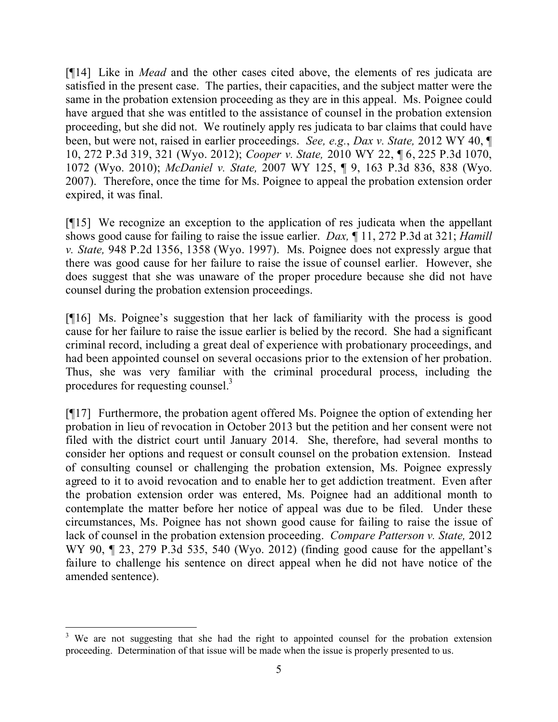[¶14] Like in *Mead* and the other cases cited above, the elements of res judicata are satisfied in the present case. The parties, their capacities, and the subject matter were the same in the probation extension proceeding as they are in this appeal. Ms. Poignee could have argued that she was entitled to the assistance of counsel in the probation extension proceeding, but she did not. We routinely apply res judicata to bar claims that could have been, but were not, raised in earlier proceedings. *See, e.g.*, *Dax v. State,* 2012 WY 40, ¶ 10, 272 P.3d 319, 321 (Wyo. 2012); *Cooper v. State,* 2010 WY 22, ¶ 6, 225 P.3d 1070, 1072 (Wyo. 2010); *McDaniel v. State,* 2007 WY 125, ¶ 9, 163 P.3d 836, 838 (Wyo. 2007). Therefore, once the time for Ms. Poignee to appeal the probation extension order expired, it was final.

[¶15] We recognize an exception to the application of res judicata when the appellant shows good cause for failing to raise the issue earlier. *Dax,* ¶ 11, 272 P.3d at 321; *Hamill v. State,* 948 P.2d 1356, 1358 (Wyo. 1997). Ms. Poignee does not expressly argue that there was good cause for her failure to raise the issue of counsel earlier. However, she does suggest that she was unaware of the proper procedure because she did not have counsel during the probation extension proceedings.

[¶16] Ms. Poignee's suggestion that her lack of familiarity with the process is good cause for her failure to raise the issue earlier is belied by the record. She had a significant criminal record, including a great deal of experience with probationary proceedings, and had been appointed counsel on several occasions prior to the extension of her probation. Thus, she was very familiar with the criminal procedural process, including the procedures for requesting counsel.<sup>3</sup>

[¶17] Furthermore, the probation agent offered Ms. Poignee the option of extending her probation in lieu of revocation in October 2013 but the petition and her consent were not filed with the district court until January 2014. She, therefore, had several months to consider her options and request or consult counsel on the probation extension. Instead of consulting counsel or challenging the probation extension, Ms. Poignee expressly agreed to it to avoid revocation and to enable her to get addiction treatment. Even after the probation extension order was entered, Ms. Poignee had an additional month to contemplate the matter before her notice of appeal was due to be filed. Under these circumstances, Ms. Poignee has not shown good cause for failing to raise the issue of lack of counsel in the probation extension proceeding. *Compare Patterson v. State,* 2012 WY 90,  $\parallel$  23, 279 P.3d 535, 540 (Wyo. 2012) (finding good cause for the appellant's failure to challenge his sentence on direct appeal when he did not have notice of the amended sentence).

<sup>&</sup>lt;sup>3</sup> We are not suggesting that she had the right to appointed counsel for the probation extension proceeding. Determination of that issue will be made when the issue is properly presented to us.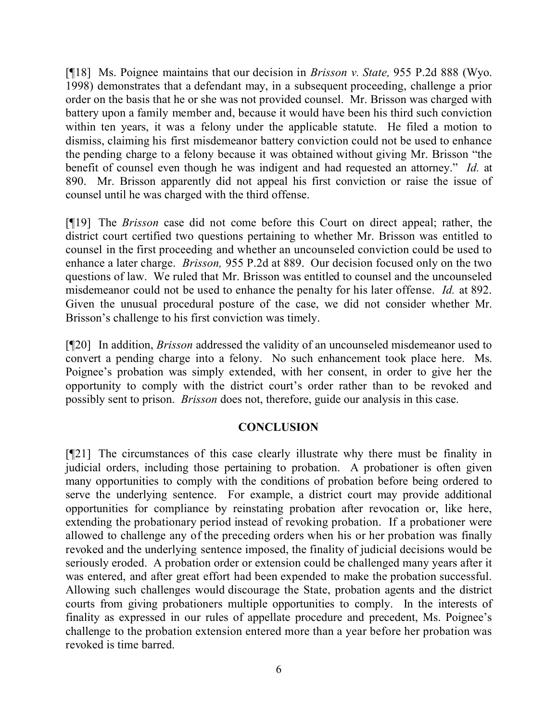[¶18] Ms. Poignee maintains that our decision in *Brisson v. State,* 955 P.2d 888 (Wyo. 1998) demonstrates that a defendant may, in a subsequent proceeding, challenge a prior order on the basis that he or she was not provided counsel. Mr. Brisson was charged with battery upon a family member and, because it would have been his third such conviction within ten years, it was a felony under the applicable statute. He filed a motion to dismiss, claiming his first misdemeanor battery conviction could not be used to enhance the pending charge to a felony because it was obtained without giving Mr. Brisson "the benefit of counsel even though he was indigent and had requested an attorney." *Id.* at 890. Mr. Brisson apparently did not appeal his first conviction or raise the issue of counsel until he was charged with the third offense.

[¶19] The *Brisson* case did not come before this Court on direct appeal; rather, the district court certified two questions pertaining to whether Mr. Brisson was entitled to counsel in the first proceeding and whether an uncounseled conviction could be used to enhance a later charge. *Brisson,* 955 P.2d at 889. Our decision focused only on the two questions of law. We ruled that Mr. Brisson was entitled to counsel and the uncounseled misdemeanor could not be used to enhance the penalty for his later offense. *Id.* at 892. Given the unusual procedural posture of the case, we did not consider whether Mr. Brisson's challenge to his first conviction was timely.

[¶20] In addition, *Brisson* addressed the validity of an uncounseled misdemeanor used to convert a pending charge into a felony. No such enhancement took place here. Ms. Poignee's probation was simply extended, with her consent, in order to give her the opportunity to comply with the district court's order rather than to be revoked and possibly sent to prison. *Brisson* does not, therefore, guide our analysis in this case.

## **CONCLUSION**

[¶21] The circumstances of this case clearly illustrate why there must be finality in judicial orders, including those pertaining to probation. A probationer is often given many opportunities to comply with the conditions of probation before being ordered to serve the underlying sentence. For example, a district court may provide additional opportunities for compliance by reinstating probation after revocation or, like here, extending the probationary period instead of revoking probation. If a probationer were allowed to challenge any of the preceding orders when his or her probation was finally revoked and the underlying sentence imposed, the finality of judicial decisions would be seriously eroded. A probation order or extension could be challenged many years after it was entered, and after great effort had been expended to make the probation successful. Allowing such challenges would discourage the State, probation agents and the district courts from giving probationers multiple opportunities to comply. In the interests of finality as expressed in our rules of appellate procedure and precedent, Ms. Poignee's challenge to the probation extension entered more than a year before her probation was revoked is time barred.